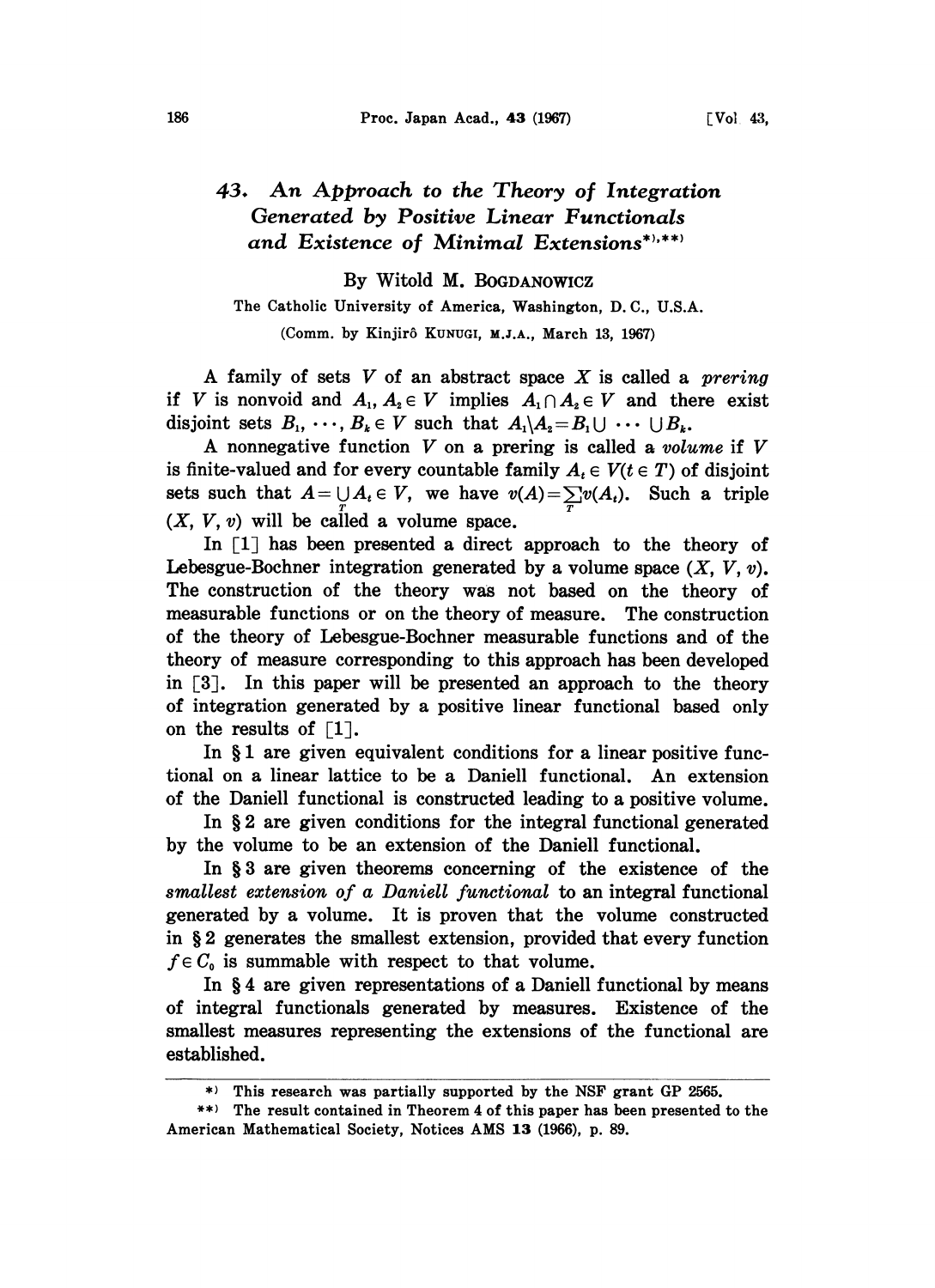## 43. An Approach to the Theory of Integration Generated by Positive Linear Functionals and Existence of Minimal Extensions\*',\*\*'

By Witold M. BOGDANOWICZ

The Catholic University of Ameriea, Washington, D.C., U.S.A.

(Comm. by Kinjirô KUNUGI, M.J.A., March 13, 1967)

A family of sets  $V$  of an abstract space  $X$  is called a *prering* if V is nonvoid and  $A_1, A_2 \in V$  implies  $A_1 \cap A_2 \in V$  and there exist disjoint sets  $B_1, \dots, B_k \in V$  such that  $A_1 \setminus A_2 = B_1 \cup \dots \cup B_k$ .

A nonnegative function  $V$  on a prering is called a volume if  $V$ is finite-valued and for every countable family  $A_t \in V(t \in T)$  of disjoint sets such that  $A = \bigcup_{\mathcal{I}} A_i \in V$ , we have  $v(A) = \sum_{\mathcal{I}} v(A_i)$ . Such a triple  $(X, V, v)$  will be called a volume space.

In  $\lceil 1 \rceil$  has been presented a direct approach to the theory of Lebesgue-Bochner integration generated by a volume space  $(X, V, v)$ . The construction of the theory was not based on the theory of measurable functions or on the theory of measure. The construction of the theory of Lebesgue-Bochner measurable functions and of the theory of measure corresponding to this approach has been developed in  $\lceil 3 \rceil$ . In this paper will be presented an approach to the theory of integration generated by a positive linear functional based only on the results of  $\lceil 1 \rceil$ .

In  $§$ 1 are given equivalent conditions for a linear positive functional on a linear lattice to be a Daniell functional. An extension of the Daniell functional is constructed leading to a positive volume.

In  $\S 2$  are given conditions for the integral functional generated by the volume to be an extension of the Daniell functional.

In § 3 are given theorems concerning of the existence of the smallest extension of a Daniell functional to an integral functional generated by a volume. It is proven that the volume constructed in 2 generates the smallest extension, provided that every function  $f \in C_0$  is summable with respect to that volume.

In §4 are given representations of a Daniell functional by means of integral functionals generated by measures. Existence of the smallest measures representing the extensions of the functional are established.

\*) This research was partially supported by the NSF grant GP 2565.

<sup>\*\*)</sup> The result contained in Theorem 4 of this paper has been presented to the American Mathematical Society, Notices AMS 13 (1966), p. 89.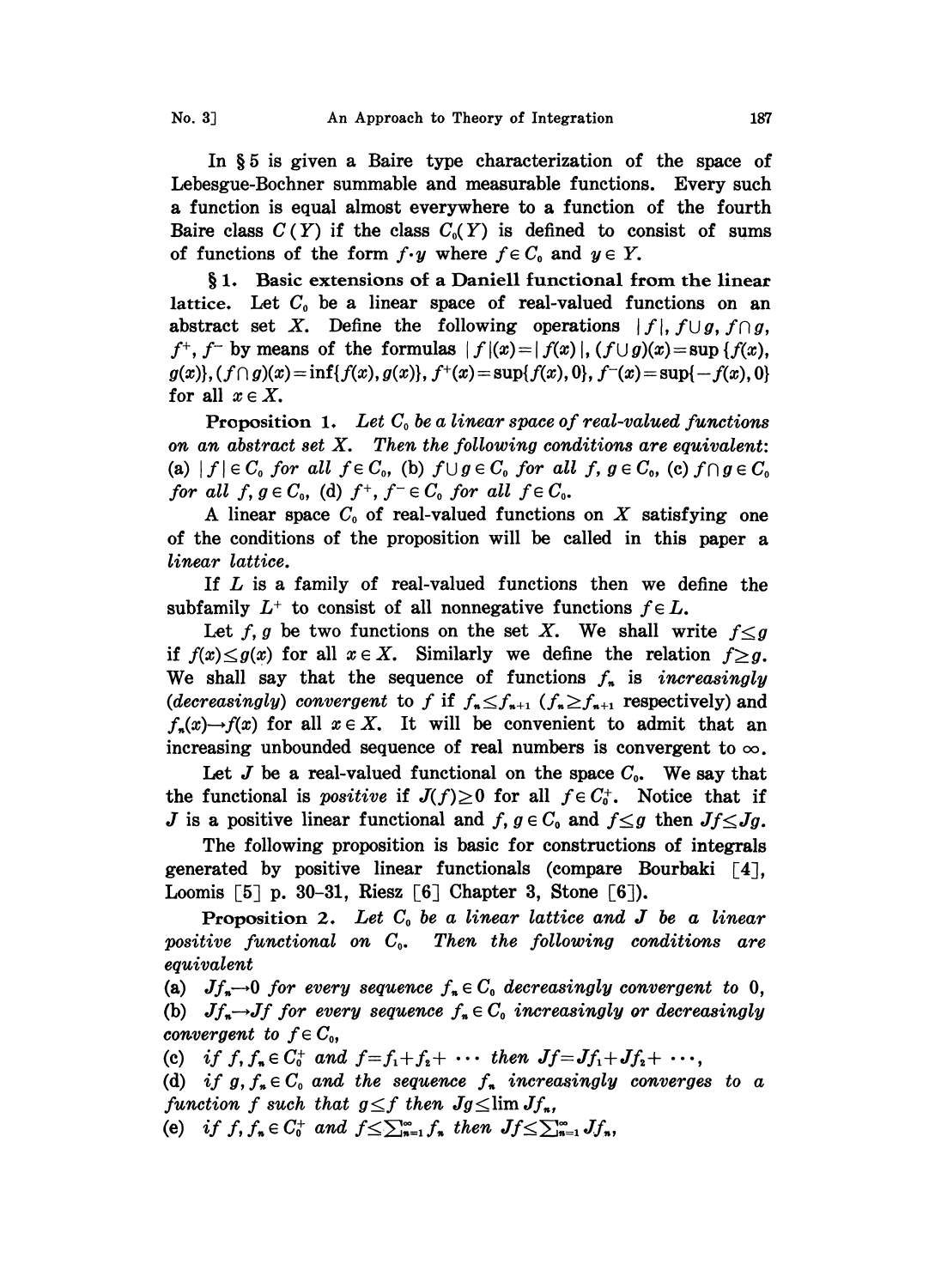In §5 is given a Baire type characterization of the space of Lebesgue-Bochner summable and measurable functions. Every such a function is equal almost everywhere to a function of the fourth Baire class  $C(Y)$  if the class  $C_0(Y)$  is defined to consist of sums of functions of the form  $f \cdot y$  where  $f \in C_0$  and  $y \in Y$ .

§1. Basic extensions of a Daniell functional from the linear lattice. Let  $C_0$  be a linear space of real-valued functions on an abstract set X. Define the following operations  $|f|, f \cup g, f \cap g$ ,  $f^+$ ,  $f^-$  by means of the formulas  $|f(x)=|f(x)|$ ,  $(f\cup g)(x)=\sup\{f(x),$  $g(x)$ ,  $(f \cap g)(x) = \inf\{f(x), g(x)\}, f^+(x) = \sup\{f(x), 0\}, f^-(x) = \sup\{-f(x), 0\}$ for all  $x \in X$ .

**Proposition 1.** Let  $C_0$  be a linear space of real-valued functions on an abstract set  $X$ . Then the following conditions are equivalent: (a)  $|f| \in C_0$  for all  $f \in C_0$ , (b)  $f \cup g \in C_0$  for all f,  $g \in C_0$ , (c)  $f \cap g \in C_0$ for all  $f, g \in C_0$ , (d)  $f^+, f^- \in C_0$  for all  $f \in C_0$ .

A linear space  $C_0$  of real-valued functions on X satisfying one of the conditions of the proposition will be called in this paper a linear lattice.

If  $L$  is a family of real-valued functions then we define the subfamily  $L^+$  to consist of all nonnegative functions  $f \in L$ .

Let f, g be two functions on the set X. We shall write  $f < g$ if  $f(x) \leq g(x)$  for all  $x \in X$ . Similarly we define the relation  $f \geq g$ . We shall say that the sequence of functions  $f_n$  is *increasingly* (decreasingly) convergent to f if  $f_n \leq f_{n+1}$  ( $f_n \geq f_{n+1}$  respectively) and  $f_*(x) \rightarrow f(x)$  for all  $x \in X$ . It will be convenient to admit that an increasing unbounded sequence of real numbers is convergent to  $\infty$ .

Let J be a real-valued functional on the space  $C_0$ . We say that the functional is *positive* if  $J(f) \geq 0$  for all  $f \in C_0^+$ . Notice that if J is a positive linear functional and  $f, g \in C_0$  and  $f \leq g$  then  $Jf \leq Jg$ .

The following proposition is basic for constructions of integrals generated by positive linear functionals (compare Bourbaki  $\lceil 4 \rceil$ , Loomis  $[5]$  p. 30-31, Riesz  $[6]$  Chapter 3, Stone  $[6]$ ).

Proposition 2. Let  $C_0$  be a linear lattice and J be a linear positive functional on  $C_{0}$ . Then the following conditions are equivalent

(a)  $Jf_{\ast}\rightarrow 0$  for every sequence  $f_{\ast}\in C_0$  decreasingly convergent to 0, (b)  $Jf_* \rightarrow Jf$  for every sequence  $f_* \in C_0$  increasingly or decreasingly convergent to  $f \in C_0$ ,

(c) if  $f, f_* \in C_0^+$  and  $f = f_1 + f_2 + \cdots$  then  $Jf = Jf_1 + Jf_2 + \cdots$ ,

(d) if  $g, f_* \in C_0$  and the sequence  $f_*$  increasingly converges to a function f such that  $g \leq f$  then  $Jg \leq \lim Jf_n$ , function f such that  $g \leq f$  then  $Jg \leq \lim_{n=1} Jf_n$ ,<br>
(e) if  $f, f_n \in C_0^+$  and  $f \leq \sum_{n=1}^{\infty} f_n$  then  $Jf \leq \sum_{n=1}^{\infty} Jf_n$ ,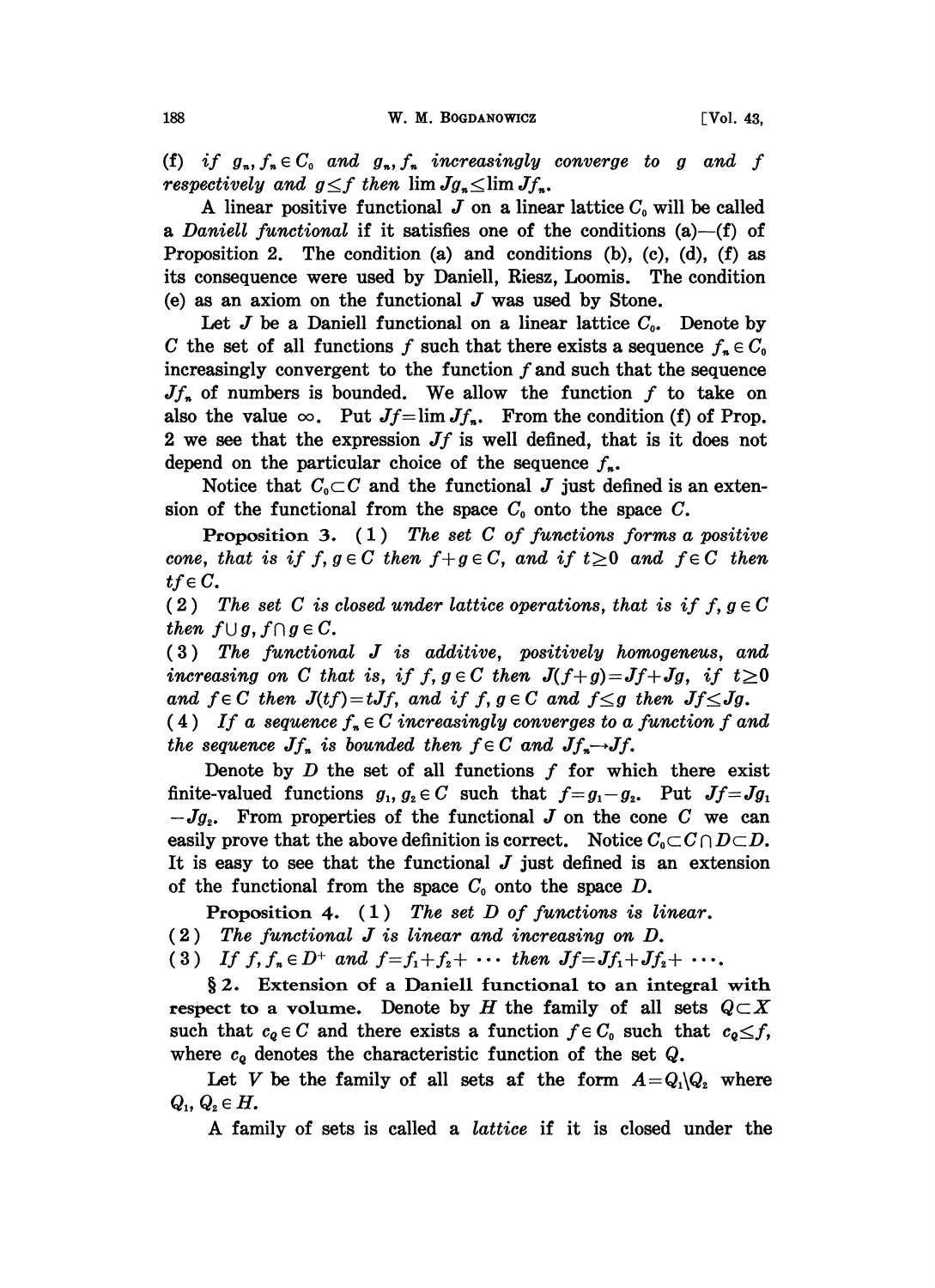(f) if  $g_n, f_n \in C_0$  and  $g_n, f_n$  increasingly converge to g and f respectively and  $g \leq f$  then  $\lim Jg_n \leq \lim Jf_n$ .

A linear positive functional  $J$  on a linear lattice  $C_0$  will be called a Daniell functional if it satisfies one of the conditions  $(a)$ -(f) of Proposition 2. The condition  $(a)$  and conditions  $(b)$ ,  $(c)$ ,  $(d)$ ,  $(f)$  as its consequence were used by Daniell, Riesz, Loomis. The condition (e) as an axiom on the functional  $J$  was used by Stone.

Let  $J$  be a Daniell functional on a linear lattice  $C_0$ . Denote by C the set of all functions f such that there exists a sequence  $f_n \in C_0$ increasingly convergent to the function  $f$  and such that the sequence  $Jf_n$  of numbers is bounded. We allow the function f to take on also the value  $\infty$ . Put  $Jf=\lim Jf_n$ . From the condition (f) of Prop. 2 we see that the expression  $Jf$  is well defined, that is it does not depend on the particular choice of the sequence  $f_{n}$ .

Notice that  $C_0 \subset C$  and the functional J just defined is an extension of the functional from the space  $C_0$  onto the space  $C$ .

**Proposition 3.** (1) The set C of functions forms a positive cone, that is if  $f, g \in C$  then  $f+g \in C$ , and if  $t \geq 0$  and  $f \in C$  then  $tf \in C$ .

(2) The set C is closed under lattice operations, that is if  $f, g \in C$ then  $f \cup g$ ,  $f \cap g \in C$ .

(3) The functional J is additive, positively homogeneus, and increasing on C that is, if  $f, g \in C$  then  $J(f+g) = Jf+Jg$ , if  $t \ge 0$ and  $f \in C$  then  $J(tf) = tJf$ , and if  $f, g \in C$  and  $f \leq g$  then  $Jf \leq Jg$ .

(4) If a sequence  $f_n \in C$  increasingly converges to a function f and the sequence  $Jf_n$  is bounded then  $f \in C$  and  $Jf_n \rightarrow Jf$ .

Denote by  $D$  the set of all functions  $f$  for which there exist finite-valued functions  $g_1, g_2 \in C$  such that  $f=g_1-g_2$ . Put  $Jf=Jg_1$ .  $-Jg<sub>2</sub>$ . From properties of the functional J on the cone C we can easily prove that the above definition is correct. Notice  $C_0 \subset C \cap D \subset D$ . It is easy to see that the functional  $J$  just defined is an extension of the functional from the space  $C_0$  onto the space D.

**Proposition 4.** (1) The set D of functions is linear.

(2) The functional J is linear and increasing on D.

(3) If  $f, f_n \in D^+$  and  $f = f_1 + f_2 + \cdots$  then  $Jf = Jf_1 + Jf_2 + \cdots$ .

§2. Extension of a Daniell functional to an integral with respect to a volume. Denote by H the family of all sets  $Q\subset X$ such that  $c_0 \in C$  and there exists a function  $f \in C_0$  such that  $c_0 \leq f$ , where  $c_{\varrho}$  denotes the characteristic function of the set  $Q$ .

Let V be the family of all sets af the form  $A=Q_1\backslash Q_2$  where  $Q_{\scriptscriptstyle1},\,Q_{\scriptscriptstyle2} \in H.$ 

A family of sets is called <sup>a</sup> lattice if it is closed under the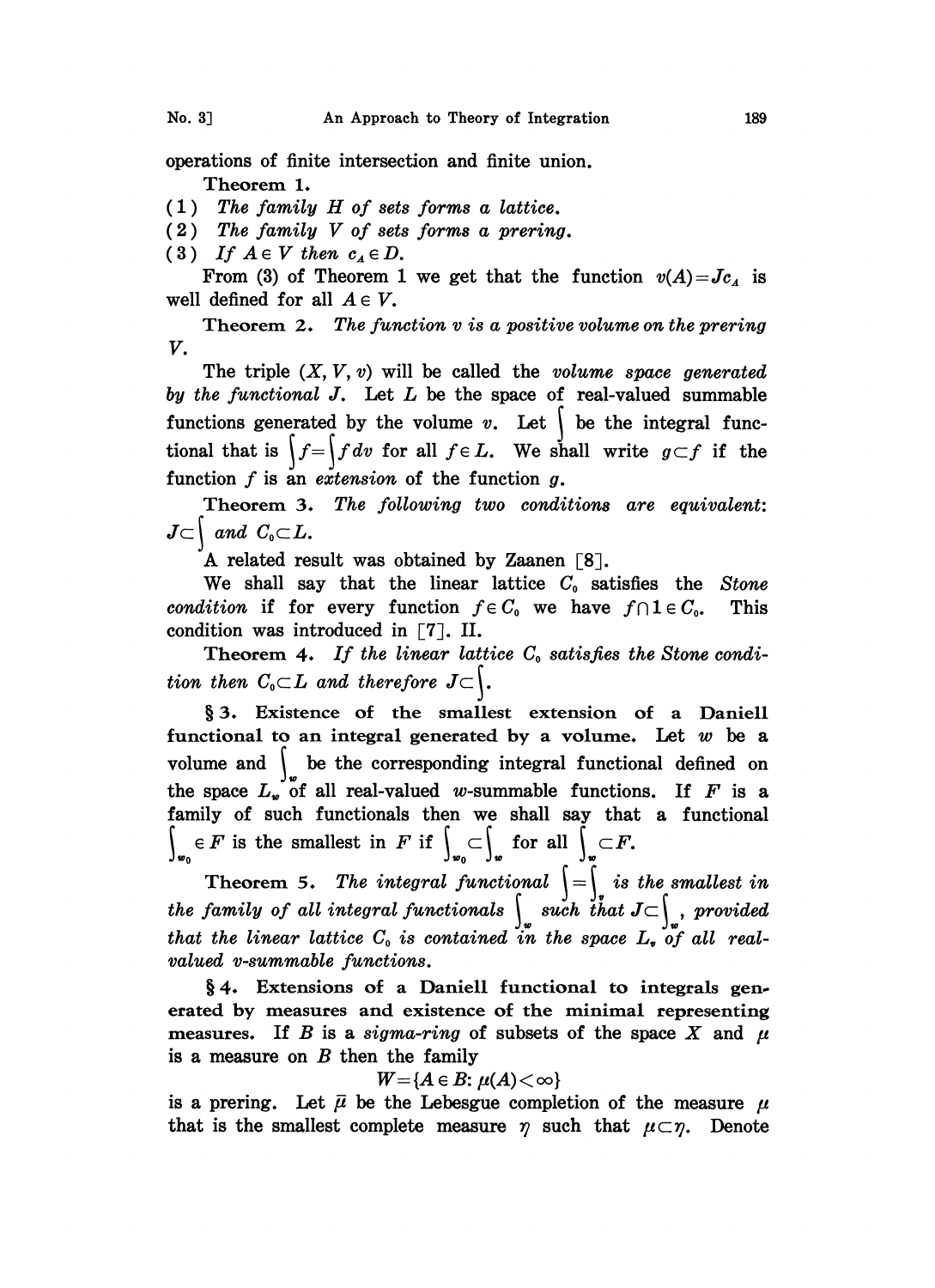operations of finite intersection and finite union. Theorem 1.

- $(1)$  The family H of sets forms a lattice.
- $(2)$  The family V of sets forms a prering.
- (3) If  $A \in V$  then  $c_A \in D$ .

From (3) of Theorem 1 we get that the function  $v(A) = Jc_A$  is well defined for all  $A \in V$ .

Theorem 2. The function  $v$  is a positive volume on the prering V.

The triple  $(X, V, v)$  will be called the *volume space generated* by the functional  $J$ . Let  $L$  be the space of real-valued summable functions generated by the volume  $v$ . Let  $\vert$  be the integral functional that is  $\int_{-\infty}^{x} f f dv$  for all  $f \in L$ . We shall write  $g \subset f$  if the function  $f$  is an extension of the function  $g$ .

Theorem 3. The following two conditions are equivalent:  $J\subset\left\{ \text{ and }C_{0}\subset L\right\}$ 

A related result was obtained by Zaanen  $\lceil 8 \rceil$ .

We shall say that the linear lattice  $C_0$  satisfies the Stone condition if for every function  $f \in C_0$  we have  $f \cap 1 \in C_0$ . This condition was introduced in  $\lceil 7 \rceil$ . II.

Theorem 4. If the linear lattice  $C_0$  satisfies the Stone condi-**Theorem 4.** If the theat tall<br>tion then  $C_0 \subset L$  and therefore  $J \subset \int$ .

3. Existence of the smallest extension of a Daniell functional to an integral generated by a volume. Let  $w$  be a volume and  $\int$  be the corresponding integral functional defined on the space  $L_{\nu}$  of all real-valued w-summable functions. If F is a family of such functionals then we shall say that a functional  $e_{w_0} \in F$  is the smallest in F if  $\int_{w_0} \subset \int_w$  for all  $\int_w \subset F$ .

Theorem 5. The integral functional  $\Biggl\{\bigoplus_{i=1}^{\infty} i_i s$  the smallest in the family of all integral functionals  $\setminus$  such that  $J\subset \setminus$  , provided that the linear lattice  $C_0$  is contained in the space  $L_i$  of all realvalued v-summable functions.

§4. Extensions of a Daniell functional to integrals generated by measures and existence of the minimal representing measures. If B is a sigma-ring of subsets of the space X and  $\mu$ is a measure on B then the family<br>  $W = \{A \in B: \mu(A) < \infty\}$ 

$$
W{=}\{A\in B\colon \mu(A){<}\infty\}
$$

is a prering. Let  $\bar{\mu}$  be the Lebesgue completion of the measure  $\mu$ that is the smallest complete measure  $\eta$  such that  $\mu \subset \eta$ . Denote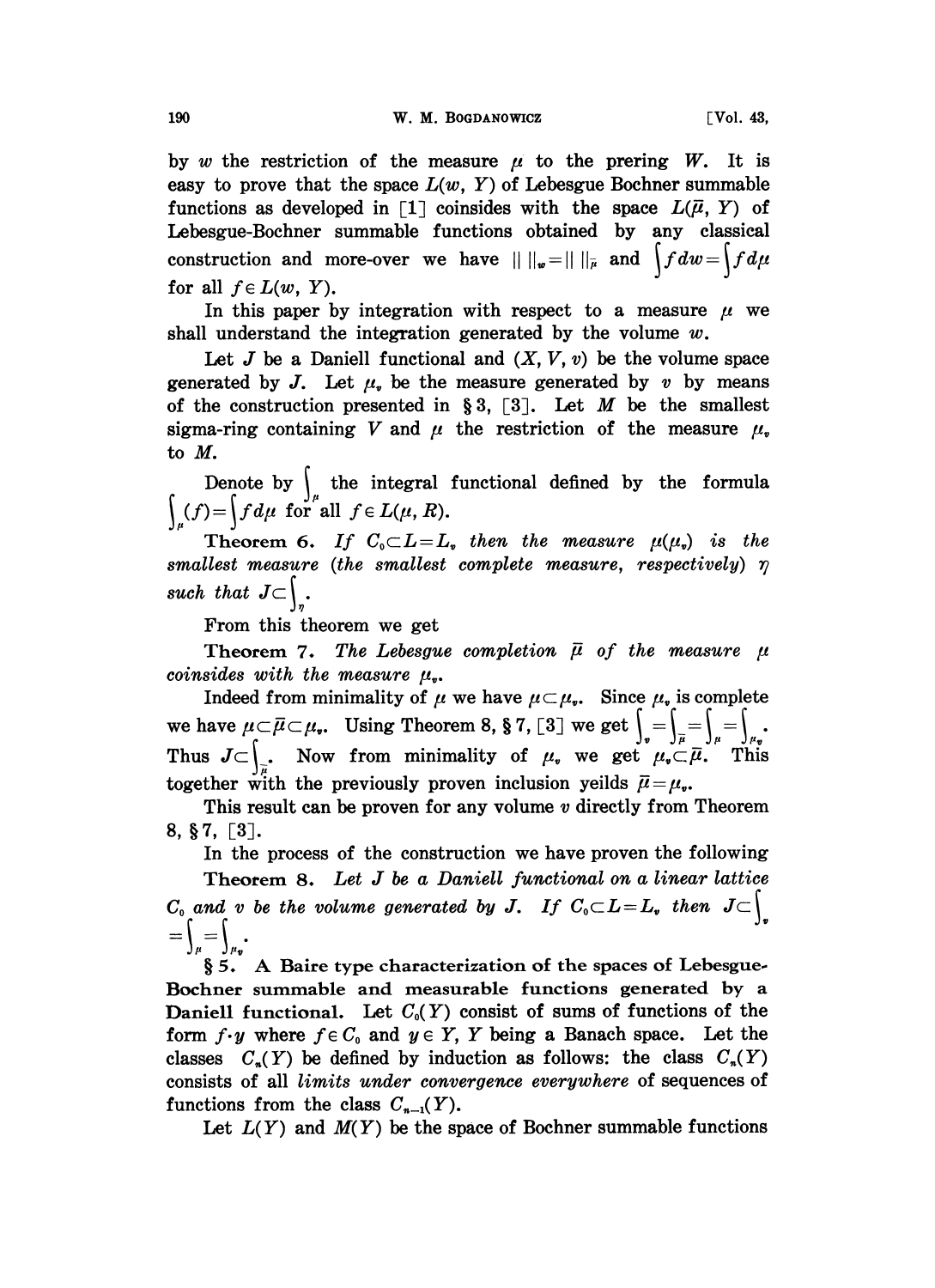by w the restriction of the measure  $\mu$  to the prering W. It is easy to prove that the space  $L(w, Y)$  of Lebesgue Bochner summable functions as developed in [1] coinsides with the space  $L(\bar{\mu}, Y)$  of Lebesgue-Bochner summable functions obtained by any classical construction and more-over we have  $|| ||_{w} = || ||_{\overline{\mu}}$  and  $\int f dw = \int f d\mu$ for all  $f \in L(w, Y)$ .

In this paper by integration with respect to a measure  $\mu$  we shall understand the integration generated by the volume  $w$ .

Let  $J$  be a Daniell functional and  $(X, V, v)$  be the volume space generated by J. Let  $\mu$ , be the measure generated by v by means of the construction presented in §3, [3]. Let M be the smallest sigma-ring containing V and  $\mu$  the restriction of the measure  $\mu$ . to M.

Denote by  $\int_{\mu}$  the integral functional defined by the formula  $\int_{\mu} (f) = \int f d\mu$  for all  $f \in L(\mu, R)$ .

Theorem 6. If  $C_0 \subset L = L$ , then the measure  $\mu(\mu)$  is the smallest measure (the smallest complete measure, respectively)  $\eta$ such that  $J\subset$ .

From this theorem we get

Theorem 7. The Lebesgue completion  $\bar{\mu}$  of the measure  $\mu$ coinsides with the measure  $\mu_{\bullet}$ .

Indeed from minimality of  $\mu$  we have  $\mu \subset \mu_r$ . Since  $\mu_r$  is complete we have  $\mu \subset \bar{\mu} \subset \mu_{\bullet}$ . Using Theorem 8, § 7, [3] we get  $\int_{\bar{r}} = \int_{\bar{\mu}} = \int_{\mu} = \int_{\mu}$ <br>Thus  $J \subset \int$ . Now from minimality of  $\mu_{\bullet}$  we get  $\mu_{\bullet} \subset \bar{\mu}$ . Then Thus  $J\subset\bigcup_{\overline{\mu}}$ . Now from minimality of  $\mu$ , we get  $\mu$ ,  $\overline{\mu}$ . This together with the previously proven inclusion yeilds  $\bar{\mu}=\mu_{\nu}$ .

This result can be proven for any volume  $v$  directly from Theorem  $8, §7, [3]$ .

In the process of the construction we have proven the following Theorem 8. Let  $J$  be a Daniell functional on a linear lattice  $C_0$  and v be the volume generated by J. If  $C_0 \subset L = L$ , then  $J \subset \int_{\sigma}$ <br>=  $\int_{\alpha}$ .

5. A Baire type characterization of the spaces of Lebesgue. Bochner summable and measurable functions generated by a Daniell functional. Let  $C_0(Y)$  consist of sums of functions of the form  $f \cdot y$  where  $f \in C_0$  and  $y \in Y$ , Y being a Banach space. Let the classes  $C_n(Y)$  be defined by induction as follows: the class  $C_n(Y)$ consists of all limits under convergence everywhere of sequences of functions from the class  $C_{n-1}(Y)$ .

Let  $L(Y)$  and  $M(Y)$  be the space of Bochner summable functions